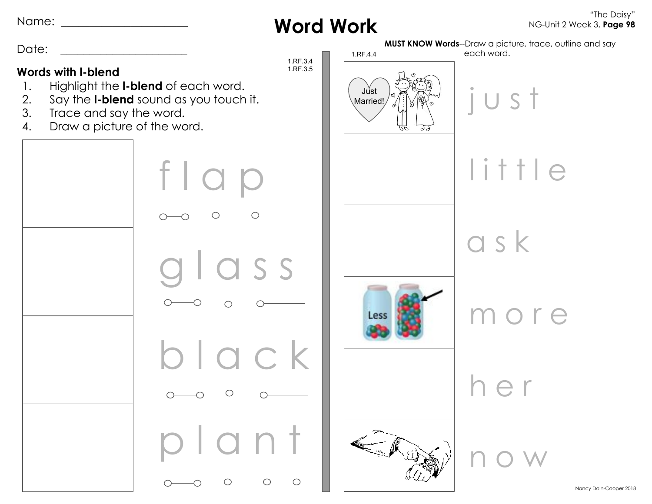Name: \_\_\_\_\_\_\_\_\_\_\_\_\_\_\_\_\_\_\_\_\_\_

**Word Work**

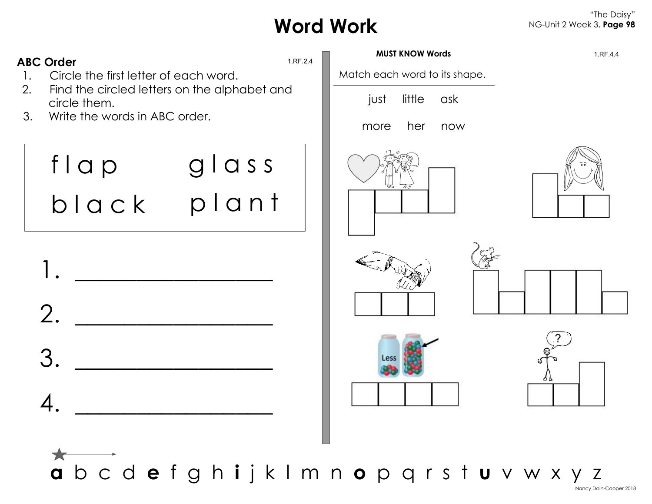# **Word Work**

#### "The Daisy" NG-Unit 2 Week 3, **Page 98**



**a** b c d **e** f g h **i** j k l m n **o** p q r s t **u** v w x y z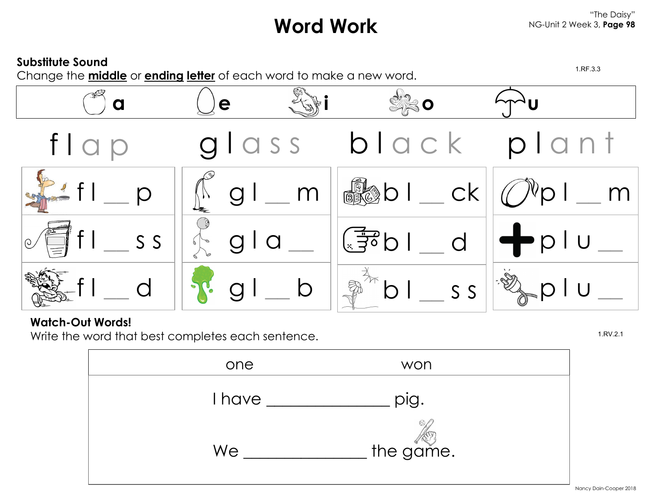# **Word Work**



### **Watch-Out Words!**

Write the word that best completes each sentence. 1.RV.2.1

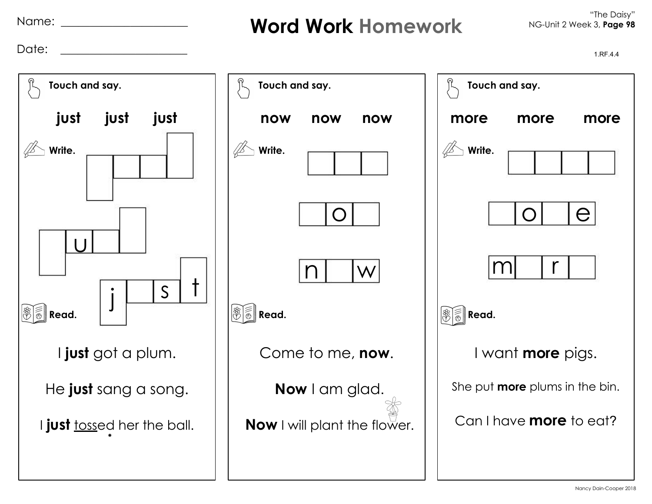Name: \_\_\_\_\_\_\_\_\_\_\_\_\_\_\_\_\_\_\_\_\_\_

## **Word Work Homework**

Date: \_\_\_\_\_\_\_\_\_\_\_\_\_\_\_\_\_\_\_\_\_\_ 1.RF.4.4